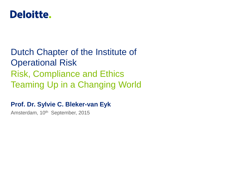

## Dutch Chapter of the Institute of Operational Risk Risk, Compliance and Ethics Teaming Up in a Changing World

### **Prof. Dr. Sylvie C. Bleker-van Eyk**

Amsterdam, 10<sup>th</sup> September, 2015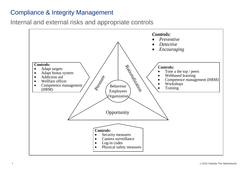#### Compliance & Integrity Management

Internal and external risks and appropriate controls

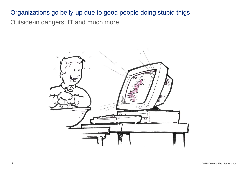### Outside-in dangers: IT and much more Organizations go belly-up due to good people doing stupid thigs

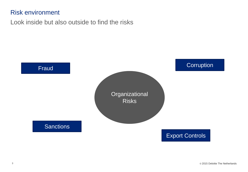#### Risk environment

Look inside but also outside to find the risks

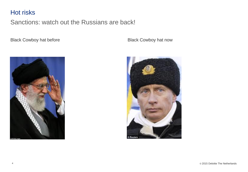#### Hot risks

Sanctions: watch out the Russians are back!

Black Cowboy hat before

Black Cowboy hat now



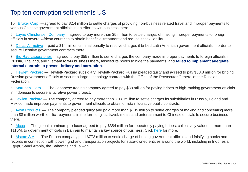#### Top ten corruption settlements US

10. [Bruker Corp.](http://www.sec.gov/News/PressRelease/Detail/PressRelease/1370543708934.VKlg3dLF-AN) —agreed to pay \$2.4 million to settle charges of providing non-business related travel and improper payments to various Chinese government officials in an effort to win business there.

9. [Layne Christensen Company](http://www.sec.gov/News/PressRelease/Detail/PressRelease/1370543291857.VKlhdtLF-AO) —agreed to pay more than \$5 million to settle charges of making improper payments to foreign officials in several African countries to obtain beneficial treatment and reduce its tax liability.

8. [Dallas Airmotive](http://www.justice.gov/opa/pr/dallas-airmotive-inc-admits-foreign-corrupt-practices-act-violations-and-agrees-pay-14) —paid a \$14 million criminal penalty to resolve charges it bribed Latin American government officials in order to secure lucrative government contracts there.

7. [Bio-Rad Laboratories](http://constantinecannon.com/whistleblower/bio-rad-pays-big-international-bribery-scheme/.VKasZNLF-AM) —agreed to pay \$55 million to settle charges the company made improper payments to foreign officials in Russia, Thailand, and Vietnam to win business there, falsified its books to hide the payments, and **failed to implement adequate internal controls to prevent bribery and corruption**.

6. [Hewlett Packard](http://www.justice.gov/opa/pr/hewlett-packard-russia-pleads-guilty-and-sentenced-bribery-russian-government-officials) — Hewlett-Packard subsidiary Hewlett-Packard Russia pleaded guilty and agreed to pay \$58.8 million for bribing Russian government officials to secure a large technology contract with the Office of the Prosecutor General of the Russian Federation.

5. [Marubeni Corp.](http://www.justice.gov/opa/pr/marubeni-corporation-sentenced-foreign-bribery-violations) — The Japanese trading company agreed to pay \$88 million for paying bribes to high-ranking government officials in Indonesia to secure a lucrative power project.

4. [Hewlett Packard](http://www.sec.gov/News/PressRelease/Detail/PressRelease/1370541453075.VKlidNLF-AN) — The company agreed to pay more than \$108 million to settle charges its subsidiaries in Russia, Poland and Mexico made improper payments to government officials to obtain or retain lucrative public contracts.

3. [Avon Products.](http://constantinecannon.com/whistleblower/doj-catch-week-avon-products/.VKais9LF-AN) — The company pleaded guilty and paid more than \$135 million to settle charges of making and concealing more than \$8 million worth of illicit payments in the form of gifts, travel, meals and entertainment to Chinese officials to secure business there.

2. [Alcoa](http://www.sec.gov/News/PressRelease/Detail/PressRelease/1370540596936.VKlfrdLF-AN) — The global aluminum producer agreed to pay \$384 million for repeatedly paying bribes, collectively valued at more than \$110M, to government officials in Bahrain to maintain a key source of business. Click [here](http://www.sec.gov/News/PressRelease/Detail/PressRelease/1370540596936.VKlfrdLF-AN) for more.

1. [Alstom S.A](http://constantinecannon.com/whistleblower/doj-catch-week-alstom-s/.VKAjQsAAA). — The French company paid \$772 million to settle charge of bribing government officials and falsifying books and records in connection with power, grid and transportation projects for state-owned entities around the world, including in Indonesia, Egypt, Saudi Arabia, the Bahamas and Taiwan.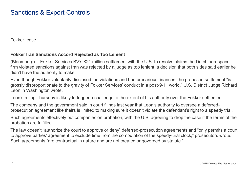#### Sanctions & Export Controls

Fokker- case

#### **Fokker Iran Sanctions Accord Rejected as Too Lenient**

(Bloomberg) -- Fokker Services BV's \$21 million settlement with the U.S. to resolve claims the Dutch aerospace firm violated sanctions against Iran was rejected by a judge as too lenient, a decision that both sides said earlier he didn't have the authority to make.

Even though Fokker voluntarily disclosed the violations and had precarious finances, the proposed settlement "is grossly disproportionate to the gravity of Fokker Services' conduct in a post-9-11 world," U.S. District Judge Richard Leon in Washington wrote.

Leon's ruling Thursday is likely to trigger a challenge to the extent of his authority over the Fokker settlement.

The company and the government said in court filings last year that Leon's authority to oversee a deferredprosecution agreement like theirs is limited to making sure it doesn't violate the defendant's right to a speedy trial.

Such agreements effectively put companies on probation, with the U.S. agreeing to drop the case if the terms of the probation are fulfilled.

The law doesn't "authorize the court to approve or deny" deferred-prosecution agreements and "only permits a court to approve parties' agreement to exclude time from the computation of the speedy-trial clock," prosecutors wrote. Such agreements "are contractual in nature and are not created or governed by statute."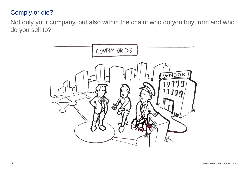#### Comply or die?

Not only your company, but also within the chain: who do you buy from and who do you sell to?